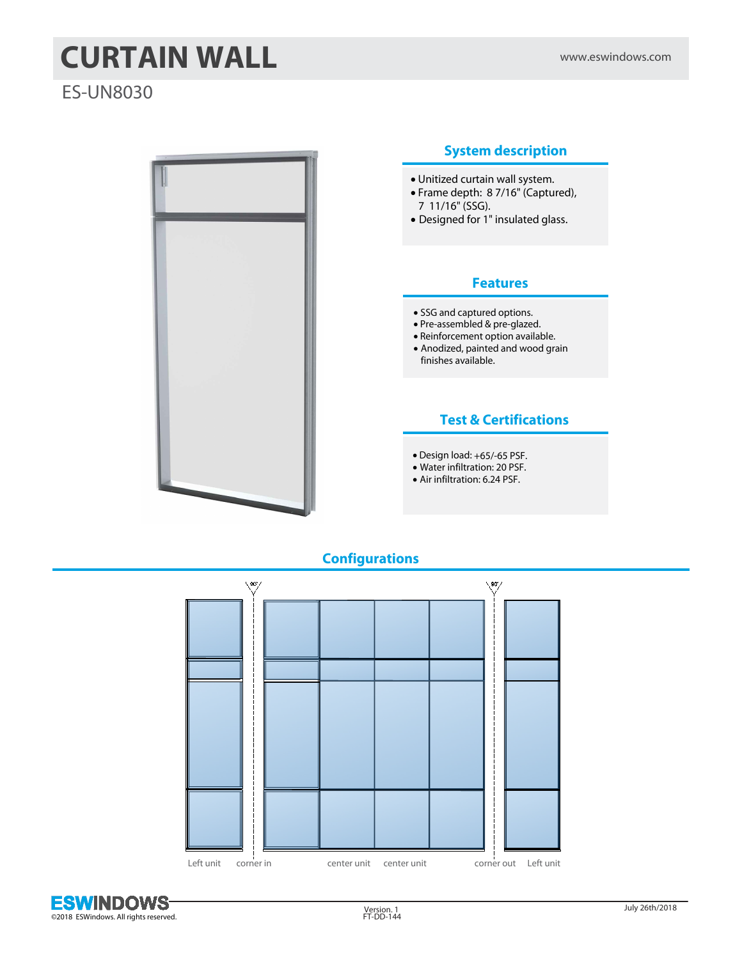# **CURTAIN WALL** www.eswindows.com

# ES-UN8030



#### **System description**

- · Unitized curtain wall system.
- · Frame depth: 8 7/16" (Captured), 7 11/16" (SSG).
- · Designed for 1" insulated glass.

#### **Features**

- · SSG and captured options.
- · Pre-assembled & pre-glazed.
- · Reinforcement option available.
- · Anodized, painted and wood grain finishes available.

#### **Test & Certifications**

- · Design load: +65/-65 PSF.
- · Water infiltration: 20 PSF.
- · Air infiltration: 6.24 PSF.

## **Configurations**



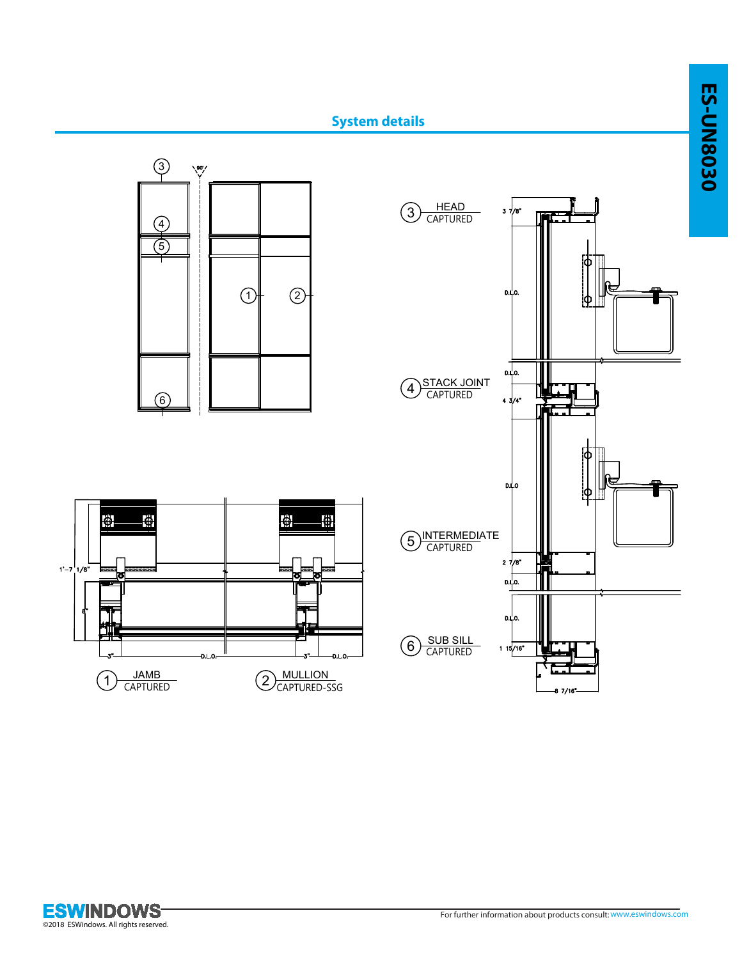

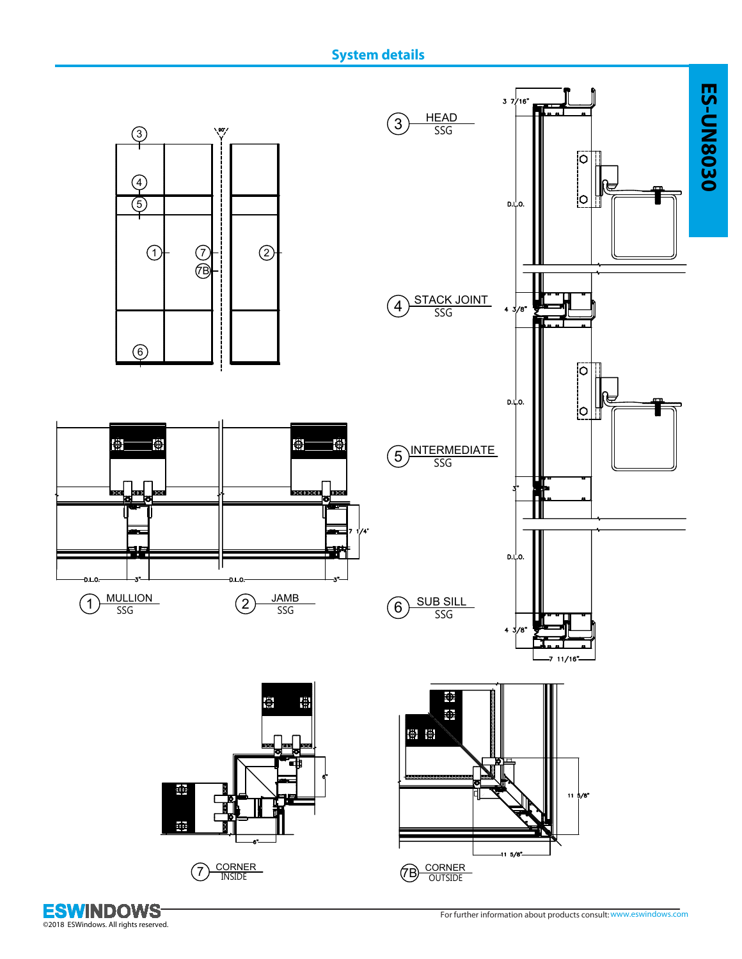# **System details**